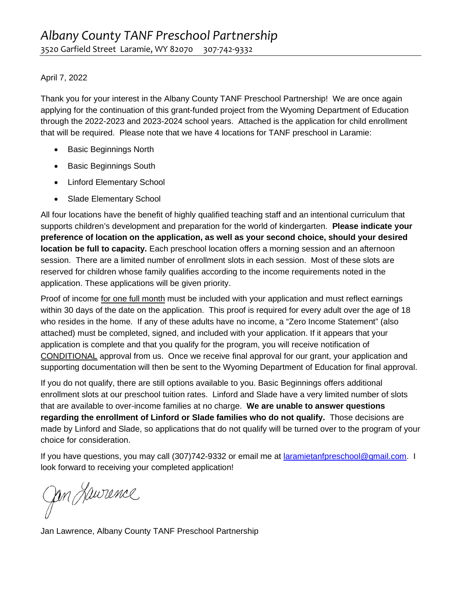## April 7, 2022

Thank you for your interest in the Albany County TANF Preschool Partnership! We are once again applying for the continuation of this grant-funded project from the Wyoming Department of Education through the 2022-2023 and 2023-2024 school years. Attached is the application for child enrollment that will be required. Please note that we have 4 locations for TANF preschool in Laramie:

- Basic Beginnings North
- Basic Beginnings South
- Linford Elementary School
- Slade Elementary School

All four locations have the benefit of highly qualified teaching staff and an intentional curriculum that supports children's development and preparation for the world of kindergarten. **Please indicate your preference of location on the application, as well as your second choice, should your desired location be full to capacity.** Each preschool location offers a morning session and an afternoon session. There are a limited number of enrollment slots in each session. Most of these slots are reserved for children whose family qualifies according to the income requirements noted in the application. These applications will be given priority.

Proof of income for one full month must be included with your application and must reflect earnings within 30 days of the date on the application. This proof is required for every adult over the age of 18 who resides in the home. If any of these adults have no income, a "Zero Income Statement" (also attached) must be completed, signed, and included with your application. If it appears that your application is complete and that you qualify for the program, you will receive notification of CONDITIONAL approval from us. Once we receive final approval for our grant, your application and supporting documentation will then be sent to the Wyoming Department of Education for final approval.

If you do not qualify, there are still options available to you. Basic Beginnings offers additional enrollment slots at our preschool tuition rates. Linford and Slade have a very limited number of slots that are available to over-income families at no charge. **We are unable to answer questions regarding the enrollment of Linford or Slade families who do not qualify.** Those decisions are made by Linford and Slade, so applications that do not qualify will be turned over to the program of your choice for consideration.

If you have questions, you may call (307)742-9332 or email me at [laramietanfpreschool@gmail.com.](mailto:laramietanfpreschool@gmail.com) I look forward to receiving your completed application!

Jan Jaurence

Jan Lawrence, Albany County TANF Preschool Partnership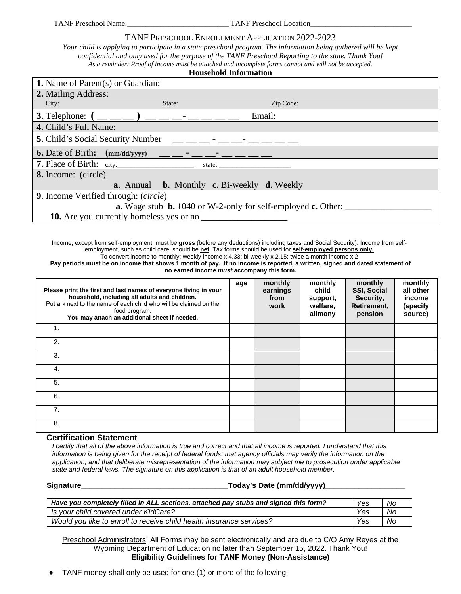TANF Preschool Name: TANF Preschool Location

### TANF PRESCHOOL ENROLLMENT APPLICATION 2022-2023

*Your child is applying to participate in a state preschool program. The information being gathered will be kept confidential and only used for the purpose of the TANF Preschool Reporting to the state. Thank You! As a reminder: Proof of income must be attached and incomplete forms cannot and will not be accepted.*  **Household Information**

Income, except from self-employment, must be **gross** (before any deductions) including taxes and Social Security). Income from selfemployment, such as child care, should be **net**. Tax forms should be used for **self-employed persons only.**  To convert income to monthly: weekly income x 4.33; bi-weekly x 2.15; twice a month income x 2 Pay periods must be on income that shows 1 month of pay. If no income is reported, a written, signed and dated statement of

**no earned income** *must* **accompany this form.** 

| Please print the first and last names of everyone living in your<br>household, including all adults and children.<br>Put a $\sqrt{ }$ next to the name of each child who will be claimed on the<br>food program.<br>You may attach an additional sheet if needed. | age | monthly<br>earnings<br>from<br>work | monthly<br>child<br>support,<br>welfare,<br>alimony | monthly<br><b>SSI, Social</b><br>Security,<br>Retirement,<br>pension | monthly<br>all other<br>income<br>(specify<br>source) |
|-------------------------------------------------------------------------------------------------------------------------------------------------------------------------------------------------------------------------------------------------------------------|-----|-------------------------------------|-----------------------------------------------------|----------------------------------------------------------------------|-------------------------------------------------------|
| 1.                                                                                                                                                                                                                                                                |     |                                     |                                                     |                                                                      |                                                       |
| 2.                                                                                                                                                                                                                                                                |     |                                     |                                                     |                                                                      |                                                       |
| 3.                                                                                                                                                                                                                                                                |     |                                     |                                                     |                                                                      |                                                       |
| 4.                                                                                                                                                                                                                                                                |     |                                     |                                                     |                                                                      |                                                       |
| 5.                                                                                                                                                                                                                                                                |     |                                     |                                                     |                                                                      |                                                       |
| 6.                                                                                                                                                                                                                                                                |     |                                     |                                                     |                                                                      |                                                       |
| 7 <sub>1</sub>                                                                                                                                                                                                                                                    |     |                                     |                                                     |                                                                      |                                                       |
| 8.                                                                                                                                                                                                                                                                |     |                                     |                                                     |                                                                      |                                                       |

#### **Certification Statement**

*I certify that all of the above information is true and correct and that all income is reported. I understand that this*  information is being given for the receipt of federal funds; that agency officials may verify the information on the *application; and that deliberate misrepresentation of the information may subject me to prosecution under applicable state and federal laws. The signature on this application is that of an adult household member.* 

#### **Signature\_\_\_\_\_\_\_\_\_\_\_\_\_\_\_\_\_\_\_\_\_\_\_\_\_\_\_\_\_\_\_\_\_\_\_Today's Date (mm/dd/yyyy)\_\_\_\_\_\_\_\_\_\_\_\_\_\_\_\_\_\_\_**

| Have you completely filled in ALL sections, attached pay stubs and signed this form? | Yes | No        |
|--------------------------------------------------------------------------------------|-----|-----------|
| Is your child covered under KidCare?                                                 | Yes | Nc        |
| Would you like to enroll to receive child health insurance services?                 | Yes | <b>Nc</b> |

Preschool Administrators: All Forms may be sent electronically and are due to C/O Amy Reyes at the Wyoming Department of Education no later than September 15, 2022. Thank You! **Eligibility Guidelines for TANF Money (Non-Assistance)** 

TANF money shall only be used for one (1) or more of the following: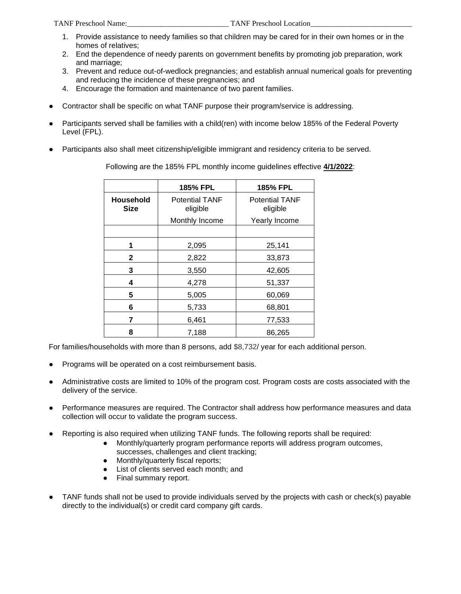- 1. Provide assistance to needy families so that children may be cared for in their own homes or in the homes of relatives;
- 2. End the dependence of needy parents on government benefits by promoting job preparation, work and marriage;
- 3. Prevent and reduce out-of-wedlock pregnancies; and establish annual numerical goals for preventing and reducing the incidence of these pregnancies; and
- 4. Encourage the formation and maintenance of two parent families.
- Contractor shall be specific on what TANF purpose their program/service is addressing.
- Participants served shall be families with a child(ren) with income below 185% of the Federal Poverty Level (FPL).
- Participants also shall meet citizenship/eligible immigrant and residency criteria to be served.

|                                 | <b>185% FPL</b>                   | 185% FPL                          |
|---------------------------------|-----------------------------------|-----------------------------------|
| <b>Household</b><br><b>Size</b> | <b>Potential TANF</b><br>eligible | <b>Potential TANF</b><br>eligible |
|                                 | Monthly Income                    | Yearly Income                     |
|                                 |                                   |                                   |
| 1                               | 2,095                             | 25,141                            |
| 2                               | 2,822                             | 33,873                            |
| 3                               | 3,550                             | 42,605                            |
| 4                               | 4,278                             | 51,337                            |
| 5                               | 5,005                             | 60,069                            |
| 6                               | 5,733                             | 68,801                            |
| 7                               | 6,461                             | 77,533                            |
| 8                               | 7,188                             | 86,265                            |

Following are the 185% FPL monthly income guidelines effective **4/1/2022**:

For families/households with more than 8 persons, add \$8,732/ year for each additional person.

- Programs will be operated on a cost reimbursement basis.
- Administrative costs are limited to 10% of the program cost. Program costs are costs associated with the delivery of the service.
- Performance measures are required. The Contractor shall address how performance measures and data collection will occur to validate the program success.
- Reporting is also required when utilizing TANF funds. The following reports shall be required:
	- Monthly/quarterly program performance reports will address program outcomes, successes, challenges and client tracking;
	- Monthly/quarterly fiscal reports;
	- List of clients served each month; and
	- Final summary report.
- TANF funds shall not be used to provide individuals served by the projects with cash or check(s) payable directly to the individual(s) or credit card company gift cards.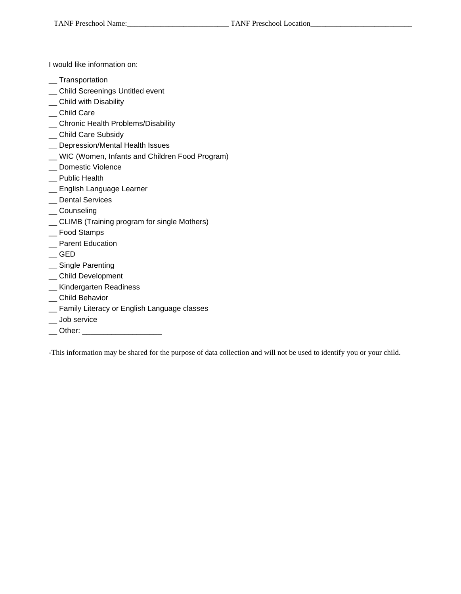I would like information on:

- \_\_ Transportation
- \_\_ Child Screenings Untitled event
- \_ Child with Disability
- \_\_ Child Care
- \_\_ Chronic Health Problems/Disability
- \_\_ Child Care Subsidy
- \_\_ Depression/Mental Health Issues
- \_\_ WIC (Women, Infants and Children Food Program)
- \_\_ Domestic Violence
- \_\_ Public Health
- \_\_ English Language Learner
- \_\_ Dental Services
- \_\_ Counseling
- \_\_ CLIMB (Training program for single Mothers)
- \_\_ Food Stamps
- \_\_ Parent Education
- $\overline{\phantom{a}}$  GED
- \_\_ Single Parenting
- \_\_ Child Development
- \_\_ Kindergarten Readiness
- \_\_ Child Behavior
- \_\_ Family Literacy or English Language classes
- \_\_ Job service
- \_\_ Other: \_\_\_\_\_\_\_\_\_\_\_

-This information may be shared for the purpose of data collection and will not be used to identify you or your child.